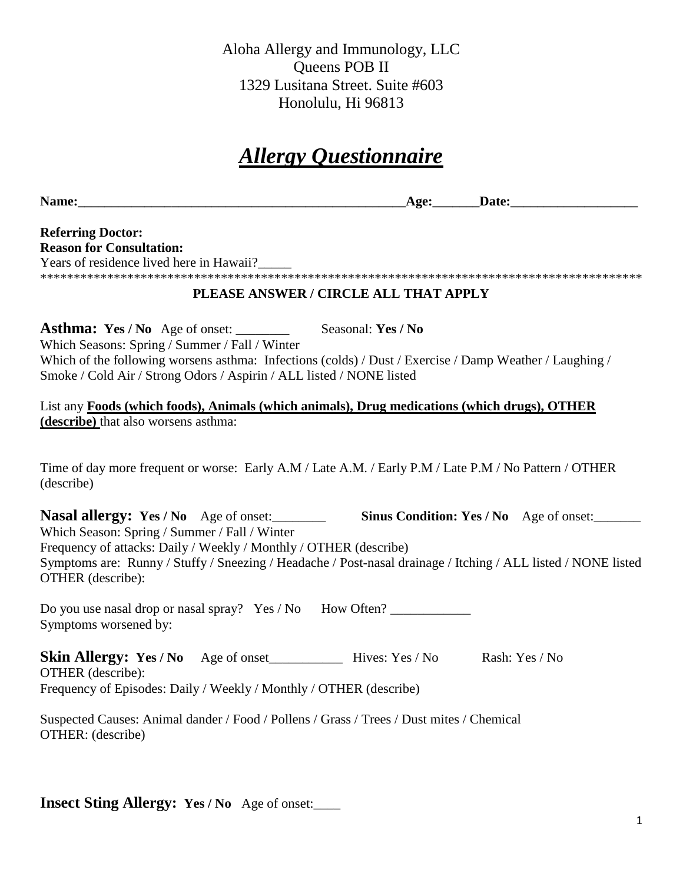Aloha Allergy and Immunology, LLC Queens POB II 1329 Lusitana Street. Suite #603 Honolulu, Hi 96813

# *Allergy Questionnaire*

**Name:\_\_\_\_\_\_\_\_\_\_\_\_\_\_\_\_\_\_\_\_\_\_\_\_\_\_\_\_\_\_\_\_\_\_\_\_\_\_\_\_\_\_\_\_\_\_\_\_\_Age:\_\_\_\_\_\_\_Date:\_\_\_\_\_\_\_\_\_\_\_\_\_\_\_\_\_\_\_**

#### **Referring Doctor: Reason for Consultation:**

Years of residence lived here in Hawaii?\_\_\_\_\_

\*\*\*\*\*\*\*\*\*\*\*\*\*\*\*\*\*\*\*\*\*\*\*\*\*\*\*\*\*\*\*\*\*\*\*\*\*\*\*\*\*\*\*\*\*\*\*\*\*\*\*\*\*\*\*\*\*\*\*\*\*\*\*\*\*\*\*\*\*\*\*\*\*\*\*\*\*\*\*\*\*\*\*\*\*\*\*\*\*\*

#### **PLEASE ANSWER / CIRCLE ALL THAT APPLY**

**Asthma: Yes / No** Age of onset: \_\_\_\_\_\_\_\_ Seasonal: **Yes / No** Which Seasons: Spring / Summer / Fall / Winter Which of the following worsens asthma: Infections (colds) / Dust / Exercise / Damp Weather / Laughing / Smoke / Cold Air / Strong Odors / Aspirin / ALL listed / NONE listed

List any **Foods (which foods), Animals (which animals), Drug medications (which drugs), OTHER (describe)** that also worsens asthma:

Time of day more frequent or worse: Early A.M / Late A.M. / Early P.M / Late P.M / No Pattern / OTHER (describe)

| <b>Nasal allergy:</b> Yes / No Age of onset:                                                                                       | <b>Sinus Condition: Yes / No</b> Age of onset: |  |
|------------------------------------------------------------------------------------------------------------------------------------|------------------------------------------------|--|
| Which Season: Spring / Summer / Fall / Winter                                                                                      |                                                |  |
| Frequency of attacks: Daily / Weekly / Monthly / OTHER (describe)                                                                  |                                                |  |
| Symptoms are: Runny / Stuffy / Sneezing / Headache / Post-nasal drainage / Itching / ALL listed / NONE listed<br>OTHER (describe): |                                                |  |

Do you use nasal drop or nasal spray? Yes / No How Often? Symptoms worsened by:

| <b>Skin Allergy: Yes / No</b> Age of onset |                                         | Hives: Yes / No | Rash: Yes / No |
|--------------------------------------------|-----------------------------------------|-----------------|----------------|
| OTHER (describe):                          |                                         |                 |                |
|                                            | $P(1/11)$ $P(1/11)$ $P(1/11)$ $P(1/11)$ |                 |                |

Frequency of Episodes: Daily / Weekly / Monthly / OTHER (describe)

Suspected Causes: Animal dander / Food / Pollens / Grass / Trees / Dust mites / Chemical OTHER: (describe)

**Insect Sting Allergy: Yes / No** Age of onset:\_\_\_\_